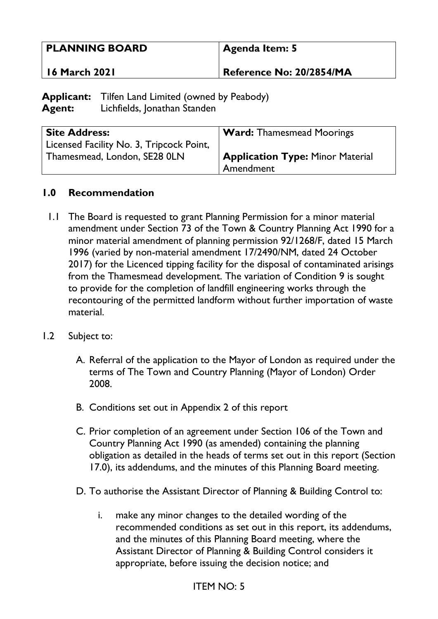| <b>PLANNING BOARD</b> | Agenda Item: 5           |
|-----------------------|--------------------------|
| ' 16 March 2021       | Reference No: 20/2854/MA |

**Applicant:** Tilfen Land Limited (owned by Peabody) **Agent:** Lichfields, Jonathan Standen

| <b>Site Address:</b>                     | <b>Ward:</b> Thamesmead Moorings        |
|------------------------------------------|-----------------------------------------|
| Licensed Facility No. 3, Tripcock Point, |                                         |
| Thamesmead, London, SE28 0LN             | <b>Application Type: Minor Material</b> |
|                                          | Amendment                               |

### **1.0 Recommendation**

- 1.1 The Board is requested to grant Planning Permission for a minor material amendment under Section 73 of the Town & Country Planning Act 1990 for a minor material amendment of planning permission 92/1268/F, dated 15 March 1996 (varied by non-material amendment 17/2490/NM, dated 24 October 2017) for the Licenced tipping facility for the disposal of contaminated arisings from the Thamesmead development. The variation of Condition 9 is sought to provide for the completion of landfill engineering works through the recontouring of the permitted landform without further importation of waste material.
- 1.2 Subject to:
	- A. Referral of the application to the Mayor of London as required under the terms of The Town and Country Planning (Mayor of London) Order 2008.
	- B. Conditions set out in Appendix 2 of this report
	- C. Prior completion of an agreement under Section 106 of the Town and Country Planning Act 1990 (as amended) containing the planning obligation as detailed in the heads of terms set out in this report (Section 17.0), its addendums, and the minutes of this Planning Board meeting.
	- D. To authorise the Assistant Director of Planning & Building Control to:
		- i. make any minor changes to the detailed wording of the recommended conditions as set out in this report, its addendums, and the minutes of this Planning Board meeting, where the Assistant Director of Planning & Building Control considers it appropriate, before issuing the decision notice; and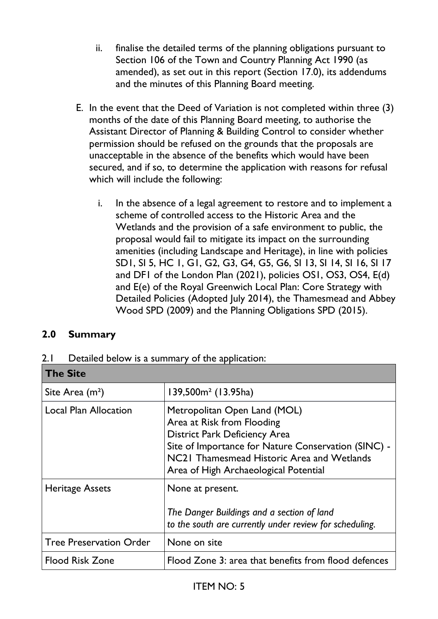- ii. finalise the detailed terms of the planning obligations pursuant to Section 106 of the Town and Country Planning Act 1990 (as amended), as set out in this report (Section 17.0), its addendums and the minutes of this Planning Board meeting.
- E. In the event that the Deed of Variation is not completed within three (3) months of the date of this Planning Board meeting, to authorise the Assistant Director of Planning & Building Control to consider whether permission should be refused on the grounds that the proposals are unacceptable in the absence of the benefits which would have been secured, and if so, to determine the application with reasons for refusal which will include the following:
	- i. In the absence of a legal agreement to restore and to implement a scheme of controlled access to the Historic Area and the Wetlands and the provision of a safe environment to public, the proposal would fail to mitigate its impact on the surrounding amenities (including Landscape and Heritage), in line with policies SD1, SI 5, HC 1, G1, G2, G3, G4, G5, G6, SI 13, SI 14, SI 16, SI 17 and DF1 of the London Plan (2021), policies OS1, OS3, OS4, E(d) and E(e) of the Royal Greenwich Local Plan: Core Strategy with Detailed Policies (Adopted July 2014), the Thamesmead and Abbey Wood SPD (2009) and the Planning Obligations SPD (2015).

## **2.0 Summary**

| 2.1 Detailed below is a summary of the application: |  |  |
|-----------------------------------------------------|--|--|
|                                                     |  |  |

| <b>The Site</b>                |                                                                                                                                                                                                                                                  |
|--------------------------------|--------------------------------------------------------------------------------------------------------------------------------------------------------------------------------------------------------------------------------------------------|
| Site Area $(m2)$               | $139,500m2$ (13.95ha)                                                                                                                                                                                                                            |
| <b>Local Plan Allocation</b>   | Metropolitan Open Land (MOL)<br>Area at Risk from Flooding<br><b>District Park Deficiency Area</b><br>Site of Importance for Nature Conservation (SINC) -<br>NC21 Thamesmead Historic Area and Wetlands<br>Area of High Archaeological Potential |
| <b>Heritage Assets</b>         | None at present.<br>The Danger Buildings and a section of land<br>to the south are currently under review for scheduling.                                                                                                                        |
| <b>Tree Preservation Order</b> | None on site                                                                                                                                                                                                                                     |
| <b>Flood Risk Zone</b>         | Flood Zone 3: area that benefits from flood defences                                                                                                                                                                                             |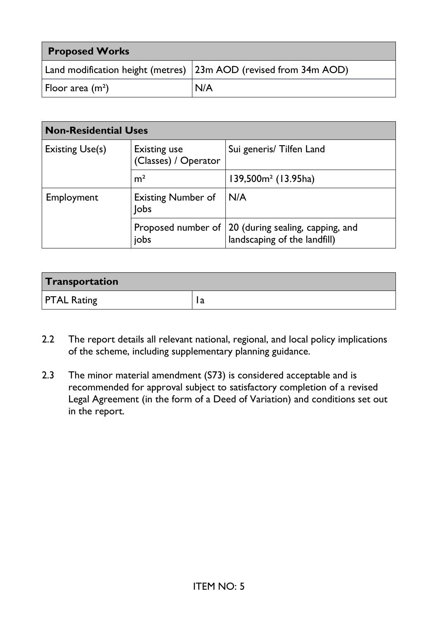| <b>Proposed Works</b> |                                                                      |
|-----------------------|----------------------------------------------------------------------|
|                       | Land modification height (metres) $ 23$ m AOD (revised from 34m AOD) |
| Floor area $(m2)$     | N/A                                                                  |

| <b>Non-Residential Uses</b>                            |                                             |                                                                                                       |
|--------------------------------------------------------|---------------------------------------------|-------------------------------------------------------------------------------------------------------|
| <b>Existing Use(s)</b>                                 | <b>Existing use</b><br>(Classes) / Operator | Sui generis/ Tilfen Land                                                                              |
|                                                        | m <sup>2</sup>                              | $139,500m2$ (13.95ha)                                                                                 |
| <b>Existing Number of</b><br>Employment<br><b>lobs</b> |                                             | IN/A                                                                                                  |
|                                                        |                                             | Proposed number of $\vert$ 20 (during sealing, capping, and jobs $\vert$ landscaping of the landfill) |

| Transportation     |   |
|--------------------|---|
| <b>PTAL Rating</b> | a |

- 2.2 The report details all relevant national, regional, and local policy implications of the scheme, including supplementary planning guidance.
- 2.3 The minor material amendment (S73) is considered acceptable and is recommended for approval subject to satisfactory completion of a revised Legal Agreement (in the form of a Deed of Variation) and conditions set out in the report.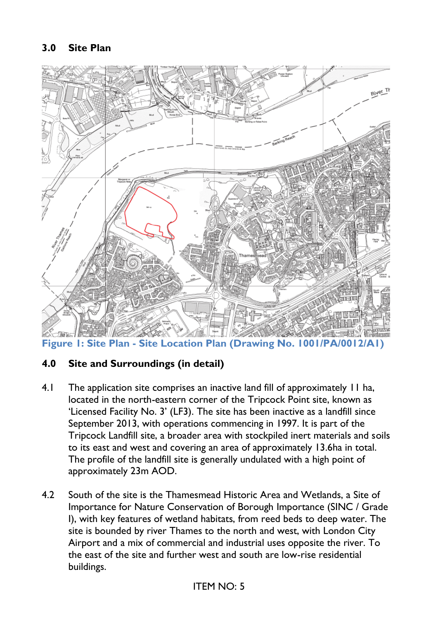

**Figure 1: Site Plan - Site Location Plan (Drawing No. 1001/PA/0012/A1)**

### **4.0 Site and Surroundings (in detail)**

- 4.1 The application site comprises an inactive land fill of approximately 11 ha, located in the north-eastern corner of the Tripcock Point site, known as 'Licensed Facility No. 3' (LF3). The site has been inactive as a landfill since September 2013, with operations commencing in 1997. It is part of the Tripcock Landfill site, a broader area with stockpiled inert materials and soils to its east and west and covering an area of approximately 13.6ha in total. The profile of the landfill site is generally undulated with a high point of approximately 23m AOD.
- 4.2 South of the site is the Thamesmead Historic Area and Wetlands, a Site of Importance for Nature Conservation of Borough Importance (SINC / Grade I), with key features of wetland habitats, from reed beds to deep water. The site is bounded by river Thames to the north and west, with London City Airport and a mix of commercial and industrial uses opposite the river. To the east of the site and further west and south are low-rise residential buildings.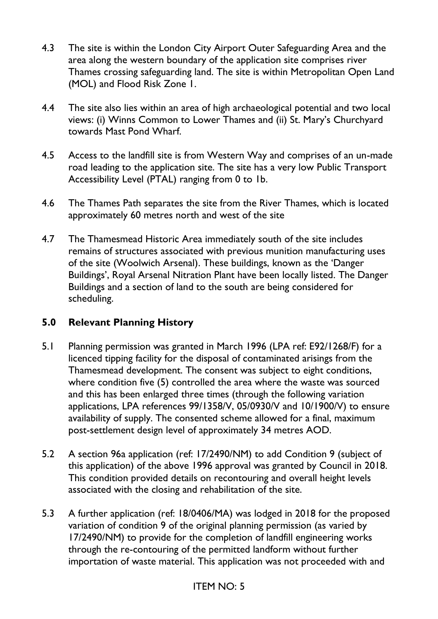- 4.3 The site is within the London City Airport Outer Safeguarding Area and the area along the western boundary of the application site comprises river Thames crossing safeguarding land. The site is within Metropolitan Open Land (MOL) and Flood Risk Zone 1.
- 4.4 The site also lies within an area of high archaeological potential and two local views: (i) Winns Common to Lower Thames and (ii) St. Mary's Churchyard towards Mast Pond Wharf.
- 4.5 Access to the landfill site is from Western Way and comprises of an un-made road leading to the application site. The site has a very low Public Transport Accessibility Level (PTAL) ranging from 0 to 1b.
- 4.6 The Thames Path separates the site from the River Thames, which is located approximately 60 metres north and west of the site
- 4.7 The Thamesmead Historic Area immediately south of the site includes remains of structures associated with previous munition manufacturing uses of the site (Woolwich Arsenal). These buildings, known as the 'Danger Buildings', Royal Arsenal Nitration Plant have been locally listed. The Danger Buildings and a section of land to the south are being considered for scheduling.

## **5.0 Relevant Planning History**

- 5.1 Planning permission was granted in March 1996 (LPA ref: E92/1268/F) for a licenced tipping facility for the disposal of contaminated arisings from the Thamesmead development. The consent was subject to eight conditions, where condition five (5) controlled the area where the waste was sourced and this has been enlarged three times (through the following variation applications, LPA references 99/1358/V, 05/0930/V and 10/1900/V) to ensure availability of supply. The consented scheme allowed for a final, maximum post-settlement design level of approximately 34 metres AOD.
- 5.2 A section 96a application (ref: 17/2490/NM) to add Condition 9 (subject of this application) of the above 1996 approval was granted by Council in 2018. This condition provided details on recontouring and overall height levels associated with the closing and rehabilitation of the site.
- 5.3 A further application (ref: 18/0406/MA) was lodged in 2018 for the proposed variation of condition 9 of the original planning permission (as varied by 17/2490/NM) to provide for the completion of landfill engineering works through the re-contouring of the permitted landform without further importation of waste material. This application was not proceeded with and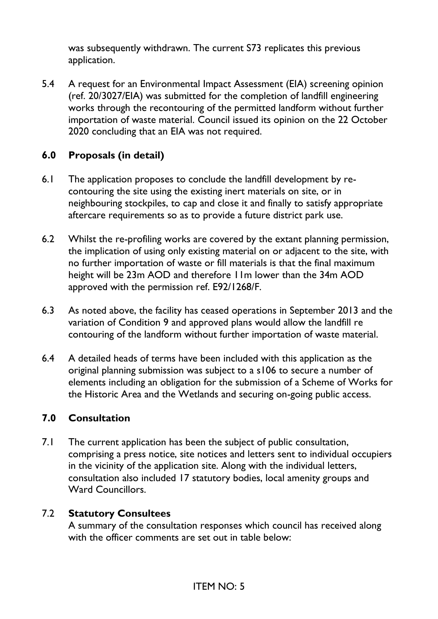was subsequently withdrawn. The current S73 replicates this previous application.

5.4 A request for an Environmental Impact Assessment (EIA) screening opinion (ref. 20/3027/EIA) was submitted for the completion of landfill engineering works through the recontouring of the permitted landform without further importation of waste material. Council issued its opinion on the 22 October 2020 concluding that an EIA was not required.

## **6.0 Proposals (in detail)**

- 6.1 The application proposes to conclude the landfill development by recontouring the site using the existing inert materials on site, or in neighbouring stockpiles, to cap and close it and finally to satisfy appropriate aftercare requirements so as to provide a future district park use.
- 6.2 Whilst the re-profiling works are covered by the extant planning permission, the implication of using only existing material on or adjacent to the site, with no further importation of waste or fill materials is that the final maximum height will be 23m AOD and therefore 11m lower than the 34m AOD approved with the permission ref. E92/1268/F.
- 6.3 As noted above, the facility has ceased operations in September 2013 and the variation of Condition 9 and approved plans would allow the landfill re contouring of the landform without further importation of waste material.
- 6.4 A detailed heads of terms have been included with this application as the original planning submission was subject to a s106 to secure a number of elements including an obligation for the submission of a Scheme of Works for the Historic Area and the Wetlands and securing on-going public access.

### **7.0 Consultation**

7.1 The current application has been the subject of public consultation, comprising a press notice, site notices and letters sent to individual occupiers in the vicinity of the application site. Along with the individual letters, consultation also included 17 statutory bodies, local amenity groups and Ward Councillors.

### 7.2 **Statutory Consultees**

A summary of the consultation responses which council has received along with the officer comments are set out in table below: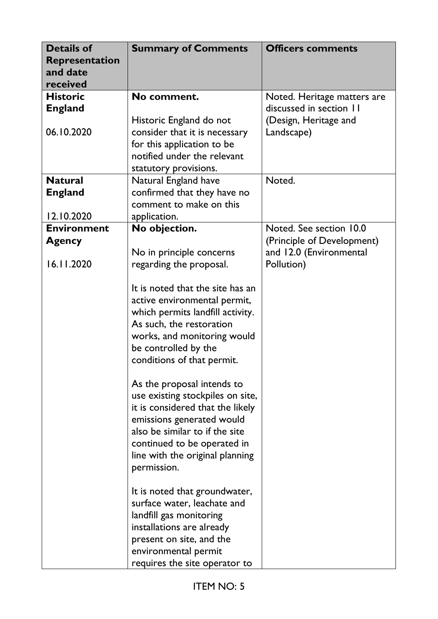| <b>Details of</b><br>Representation<br>and date<br>received | <b>Summary of Comments</b>       | <b>Officers comments</b>    |
|-------------------------------------------------------------|----------------------------------|-----------------------------|
| <b>Historic</b>                                             | No comment.                      | Noted. Heritage matters are |
| <b>England</b>                                              |                                  | discussed in section 11     |
|                                                             | Historic England do not          | (Design, Heritage and       |
| 06.10.2020                                                  | consider that it is necessary    | Landscape)                  |
|                                                             | for this application to be       |                             |
|                                                             | notified under the relevant      |                             |
|                                                             | statutory provisions.            |                             |
| <b>Natural</b>                                              | Natural England have             | Noted.                      |
| <b>England</b>                                              | confirmed that they have no      |                             |
|                                                             | comment to make on this          |                             |
| 12.10.2020                                                  | application.                     |                             |
| <b>Environment</b>                                          | No objection.                    | Noted. See section 10.0     |
| <b>Agency</b>                                               |                                  | (Principle of Development)  |
|                                                             | No in principle concerns         | and 12.0 (Environmental     |
| 16.11.2020                                                  | regarding the proposal.          | Pollution)                  |
|                                                             |                                  |                             |
|                                                             | It is noted that the site has an |                             |
|                                                             | active environmental permit,     |                             |
|                                                             | which permits landfill activity. |                             |
|                                                             | As such, the restoration         |                             |
|                                                             | works, and monitoring would      |                             |
|                                                             | be controlled by the             |                             |
|                                                             | conditions of that permit.       |                             |
|                                                             |                                  |                             |
|                                                             | As the proposal intends to       |                             |
|                                                             | use existing stockpiles on site, |                             |
|                                                             | it is considered that the likely |                             |
|                                                             | emissions generated would        |                             |
|                                                             | also be similar to if the site   |                             |
|                                                             | continued to be operated in      |                             |
|                                                             | line with the original planning  |                             |
|                                                             | permission.                      |                             |
|                                                             |                                  |                             |
|                                                             | It is noted that groundwater,    |                             |
|                                                             | surface water, leachate and      |                             |
|                                                             | landfill gas monitoring          |                             |
|                                                             | installations are already        |                             |
|                                                             | present on site, and the         |                             |
|                                                             | environmental permit             |                             |
|                                                             | requires the site operator to    |                             |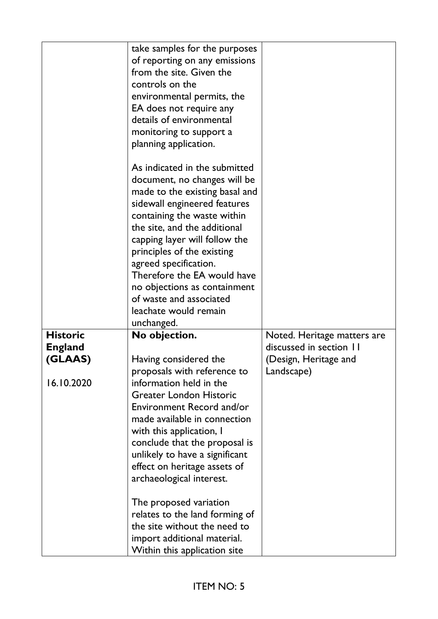|                 | take samples for the purposes<br>of reporting on any emissions<br>from the site. Given the<br>controls on the<br>environmental permits, the<br>EA does not require any<br>details of environmental<br>monitoring to support a<br>planning application.                                                                                                                                                                  |                             |
|-----------------|-------------------------------------------------------------------------------------------------------------------------------------------------------------------------------------------------------------------------------------------------------------------------------------------------------------------------------------------------------------------------------------------------------------------------|-----------------------------|
|                 | As indicated in the submitted<br>document, no changes will be<br>made to the existing basal and<br>sidewall engineered features<br>containing the waste within<br>the site, and the additional<br>capping layer will follow the<br>principles of the existing<br>agreed specification.<br>Therefore the EA would have<br>no objections as containment<br>of waste and associated<br>leachate would remain<br>unchanged. |                             |
| <b>Historic</b> | No objection.                                                                                                                                                                                                                                                                                                                                                                                                           | Noted. Heritage matters are |
| <b>England</b>  |                                                                                                                                                                                                                                                                                                                                                                                                                         | discussed in section 11     |
| (GLAAS)         | Having considered the                                                                                                                                                                                                                                                                                                                                                                                                   | (Design, Heritage and       |
| 16.10.2020      | proposals with reference to<br>information held in the<br><b>Greater London Historic</b><br>Environment Record and/or<br>made available in connection<br>with this application, I<br>conclude that the proposal is<br>unlikely to have a significant<br>effect on heritage assets of<br>archaeological interest.                                                                                                        | Landscape)                  |
|                 | The proposed variation<br>relates to the land forming of<br>the site without the need to<br>import additional material.<br>Within this application site                                                                                                                                                                                                                                                                 |                             |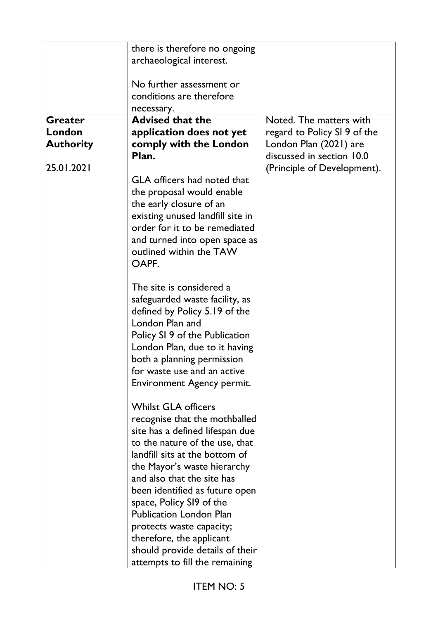|                  | there is therefore no ongoing      |                              |
|------------------|------------------------------------|------------------------------|
|                  | archaeological interest.           |                              |
|                  |                                    |                              |
|                  | No further assessment or           |                              |
|                  | conditions are therefore           |                              |
|                  | necessary.                         |                              |
| <b>Greater</b>   | <b>Advised that the</b>            | Noted. The matters with      |
| London           | application does not yet           | regard to Policy SI 9 of the |
| <b>Authority</b> | comply with the London             | London Plan (2021) are       |
|                  | Plan.                              | discussed in section 10.0    |
| 25.01.2021       |                                    | (Principle of Development).  |
|                  | <b>GLA</b> officers had noted that |                              |
|                  | the proposal would enable          |                              |
|                  | the early closure of an            |                              |
|                  | existing unused landfill site in   |                              |
|                  | order for it to be remediated      |                              |
|                  | and turned into open space as      |                              |
|                  | outlined within the TAW            |                              |
|                  | OAPF.                              |                              |
|                  |                                    |                              |
|                  | The site is considered a           |                              |
|                  | safeguarded waste facility, as     |                              |
|                  | defined by Policy 5.19 of the      |                              |
|                  | London Plan and                    |                              |
|                  | Policy SI 9 of the Publication     |                              |
|                  | London Plan, due to it having      |                              |
|                  | both a planning permission         |                              |
|                  | for waste use and an active        |                              |
|                  | Environment Agency permit.         |                              |
|                  |                                    |                              |
|                  | <b>Whilst GLA officers</b>         |                              |
|                  | recognise that the mothballed      |                              |
|                  | site has a defined lifespan due    |                              |
|                  | to the nature of the use, that     |                              |
|                  | landfill sits at the bottom of     |                              |
|                  | the Mayor's waste hierarchy        |                              |
|                  | and also that the site has         |                              |
|                  | been identified as future open     |                              |
|                  | space, Policy SI9 of the           |                              |
|                  | <b>Publication London Plan</b>     |                              |
|                  | protects waste capacity;           |                              |
|                  | therefore, the applicant           |                              |
|                  | should provide details of their    |                              |
|                  | attempts to fill the remaining     |                              |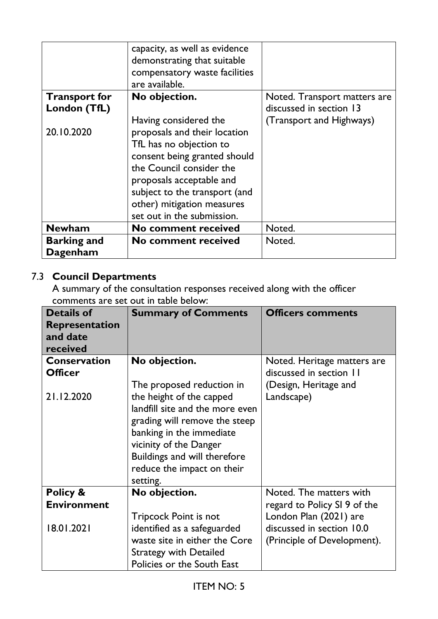|                      | capacity, as well as evidence<br>demonstrating that suitable<br>compensatory waste facilities<br>are available. |                              |
|----------------------|-----------------------------------------------------------------------------------------------------------------|------------------------------|
| <b>Transport for</b> | No objection.                                                                                                   | Noted. Transport matters are |
| London (TfL)         |                                                                                                                 | discussed in section 13      |
|                      | Having considered the                                                                                           | (Transport and Highways)     |
| 20.10.2020           | proposals and their location                                                                                    |                              |
|                      | TfL has no objection to                                                                                         |                              |
|                      | consent being granted should                                                                                    |                              |
|                      | the Council consider the                                                                                        |                              |
|                      | proposals acceptable and                                                                                        |                              |
|                      | subject to the transport (and                                                                                   |                              |
|                      | other) mitigation measures                                                                                      |                              |
|                      | set out in the submission.                                                                                      |                              |
| <b>Newham</b>        | <b>No comment received</b>                                                                                      | Noted.                       |
| <b>Barking and</b>   | <b>No comment received</b>                                                                                      | Noted.                       |
| Dagenham             |                                                                                                                 |                              |

# 7.3 **Council Departments**

A summary of the consultation responses received along with the officer comments are set out in table below:

| <b>Details of</b>  | <b>Summary of Comments</b>      | <b>Officers comments</b>     |
|--------------------|---------------------------------|------------------------------|
| Representation     |                                 |                              |
| and date           |                                 |                              |
| received           |                                 |                              |
| Conservation       | No objection.                   | Noted. Heritage matters are  |
| <b>Officer</b>     |                                 | discussed in section 11      |
|                    | The proposed reduction in       | (Design, Heritage and        |
| 21.12.2020         | the height of the capped        | Landscape)                   |
|                    | landfill site and the more even |                              |
|                    | grading will remove the steep   |                              |
|                    | banking in the immediate        |                              |
|                    | vicinity of the Danger          |                              |
|                    | Buildings and will therefore    |                              |
|                    | reduce the impact on their      |                              |
|                    | setting.                        |                              |
| Policy &           | No objection.                   | Noted. The matters with      |
| <b>Environment</b> |                                 | regard to Policy SI 9 of the |
|                    | <b>Tripcock Point is not</b>    | London Plan (2021) are       |
| 18.01.2021         | identified as a safeguarded     | discussed in section 10.0    |
|                    | waste site in either the Core   | (Principle of Development).  |
|                    | <b>Strategy with Detailed</b>   |                              |
|                    | Policies or the South East      |                              |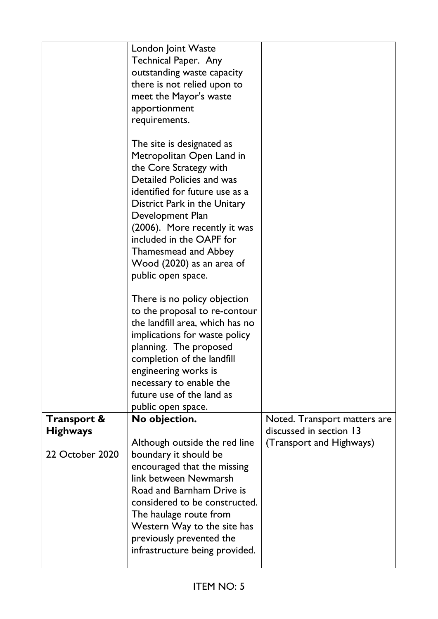|                                           | London Joint Waste<br>Technical Paper. Any<br>outstanding waste capacity<br>there is not relied upon to<br>meet the Mayor's waste<br>apportionment<br>requirements.                                                                                                                                                                               |                                                         |
|-------------------------------------------|---------------------------------------------------------------------------------------------------------------------------------------------------------------------------------------------------------------------------------------------------------------------------------------------------------------------------------------------------|---------------------------------------------------------|
|                                           | The site is designated as<br>Metropolitan Open Land in<br>the Core Strategy with<br>Detailed Policies and was<br>identified for future use as a<br>District Park in the Unitary<br>Development Plan<br>(2006). More recently it was<br>included in the OAPF for<br><b>Thamesmead and Abbey</b><br>Wood (2020) as an area of<br>public open space. |                                                         |
|                                           | There is no policy objection<br>to the proposal to re-contour<br>the landfill area, which has no<br>implications for waste policy<br>planning. The proposed<br>completion of the landfill<br>engineering works is<br>necessary to enable the<br>future use of the land as<br>public open space.                                                   |                                                         |
| <b>Transport &amp;</b><br><b>Highways</b> | No objection.                                                                                                                                                                                                                                                                                                                                     | Noted. Transport matters are<br>discussed in section 13 |
| 22 October 2020                           | Although outside the red line<br>boundary it should be<br>encouraged that the missing<br>link between Newmarsh<br>Road and Barnham Drive is<br>considered to be constructed.<br>The haulage route from<br>Western Way to the site has<br>previously prevented the<br>infrastructure being provided.                                               | (Transport and Highways)                                |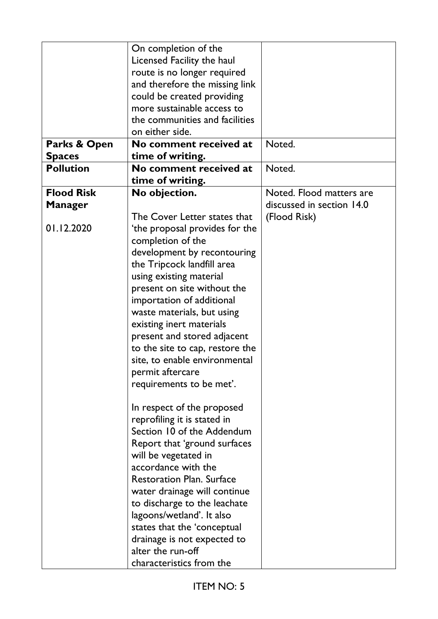|                   | On completion of the             |                           |
|-------------------|----------------------------------|---------------------------|
|                   | Licensed Facility the haul       |                           |
|                   | route is no longer required      |                           |
|                   | and therefore the missing link   |                           |
|                   | could be created providing       |                           |
|                   | more sustainable access to       |                           |
|                   | the communities and facilities   |                           |
|                   | on either side.                  |                           |
| Parks & Open      | No comment received at           | Noted.                    |
| <b>Spaces</b>     | time of writing.                 |                           |
| <b>Pollution</b>  | No comment received at           | Noted.                    |
|                   | time of writing.                 |                           |
| <b>Flood Risk</b> | No objection.                    | Noted. Flood matters are  |
|                   |                                  | discussed in section 14.0 |
| <b>Manager</b>    |                                  |                           |
| 01.12.2020        | The Cover Letter states that     | (Flood Risk)              |
|                   | the proposal provides for the    |                           |
|                   | completion of the                |                           |
|                   | development by recontouring      |                           |
|                   | the Tripcock landfill area       |                           |
|                   | using existing material          |                           |
|                   | present on site without the      |                           |
|                   | importation of additional        |                           |
|                   | waste materials, but using       |                           |
|                   | existing inert materials         |                           |
|                   | present and stored adjacent      |                           |
|                   | to the site to cap, restore the  |                           |
|                   | site, to enable environmental    |                           |
|                   | permit aftercare                 |                           |
|                   | requirements to be met'.         |                           |
|                   |                                  |                           |
|                   | In respect of the proposed       |                           |
|                   | reprofiling it is stated in      |                           |
|                   | Section 10 of the Addendum       |                           |
|                   | Report that 'ground surfaces     |                           |
|                   | will be vegetated in             |                           |
|                   | accordance with the              |                           |
|                   | <b>Restoration Plan. Surface</b> |                           |
|                   | water drainage will continue     |                           |
|                   | to discharge to the leachate     |                           |
|                   | lagoons/wetland'. It also        |                           |
|                   | states that the 'conceptual      |                           |
|                   | drainage is not expected to      |                           |
|                   | alter the run-off                |                           |
|                   | characteristics from the         |                           |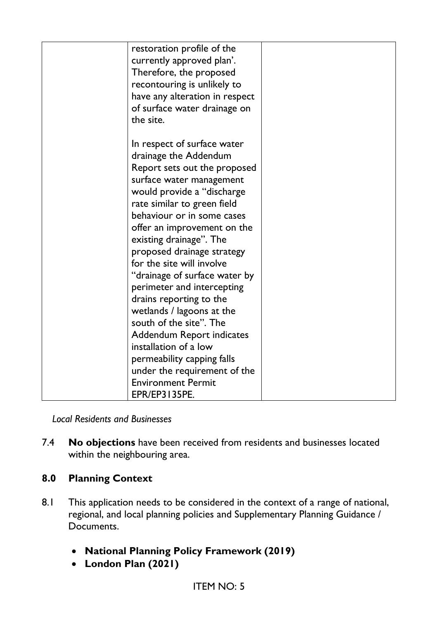| restoration profile of the<br>currently approved plan'.<br>Therefore, the proposed<br>recontouring is unlikely to<br>have any alteration in respect<br>of surface water drainage on<br>the site.                                                                                                                                                                                                                                                                                                                                                                                                                                                            |  |
|-------------------------------------------------------------------------------------------------------------------------------------------------------------------------------------------------------------------------------------------------------------------------------------------------------------------------------------------------------------------------------------------------------------------------------------------------------------------------------------------------------------------------------------------------------------------------------------------------------------------------------------------------------------|--|
| In respect of surface water<br>drainage the Addendum<br>Report sets out the proposed<br>surface water management<br>would provide a "discharge<br>rate similar to green field<br>behaviour or in some cases<br>offer an improvement on the<br>existing drainage". The<br>proposed drainage strategy<br>for the site will involve<br>"drainage of surface water by<br>perimeter and intercepting<br>drains reporting to the<br>wetlands / lagoons at the<br>south of the site". The<br><b>Addendum Report indicates</b><br>installation of a low<br>permeability capping falls<br>under the requirement of the<br><b>Environment Permit</b><br>EPR/EP3135PE. |  |

*Local Residents and Businesses*

7.4 **No objections** have been received from residents and businesses located within the neighbouring area.

## **8.0 Planning Context**

- 8.1 This application needs to be considered in the context of a range of national, regional, and local planning policies and Supplementary Planning Guidance / Documents.
	- **National Planning Policy Framework (2019)**
	- **London Plan (2021)**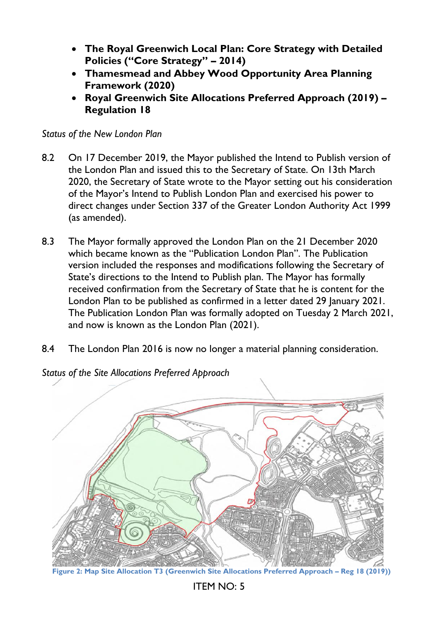- **The Royal Greenwich Local Plan: Core Strategy with Detailed Policies ("Core Strategy" – 2014)**
- **Thamesmead and Abbey Wood Opportunity Area Planning Framework (2020)**
- **Royal Greenwich Site Allocations Preferred Approach (2019) – Regulation 18**

*Status of the New London Plan*

- 8.2 On 17 December 2019, the Mayor published the Intend to Publish version of the London Plan and issued this to the Secretary of State. On 13th March 2020, the Secretary of State wrote to the Mayor setting out his consideration of the Mayor's Intend to Publish London Plan and exercised his power to direct changes under Section 337 of the Greater London Authority Act 1999 (as amended).
- 8.3 The Mayor formally approved the London Plan on the 21 December 2020 which became known as the "Publication London Plan". The Publication version included the responses and modifications following the Secretary of State's directions to the Intend to Publish plan. The Mayor has formally received confirmation from the Secretary of State that he is content for the London Plan to be published as confirmed in a letter dated 29 January 2021. The Publication London Plan was formally adopted on Tuesday 2 March 2021, and now is known as the London Plan (2021).
- 8.4 The London Plan 2016 is now no longer a material planning consideration.



*Status of the Site Allocations Preferred Approach*

**Figure 2: Map Site Allocation T3 (Greenwich Site Allocations Preferred Approach – Reg 18 (2019))**

ITEM NO: 5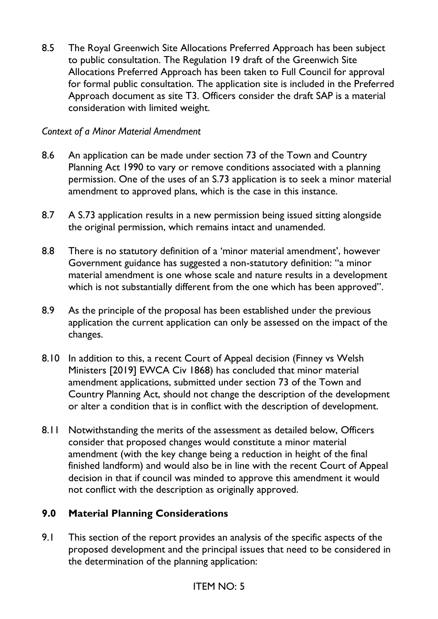8.5 The Royal Greenwich Site Allocations Preferred Approach has been subject to public consultation. The Regulation 19 draft of the Greenwich Site Allocations Preferred Approach has been taken to Full Council for approval for formal public consultation. The application site is included in the Preferred Approach document as site T3. Officers consider the draft SAP is a material consideration with limited weight.

### *Context of a Minor Material Amendment*

- 8.6 An application can be made under section 73 of the Town and Country Planning Act 1990 to vary or remove conditions associated with a planning permission. One of the uses of an S.73 application is to seek a minor material amendment to approved plans, which is the case in this instance.
- 8.7 A S.73 application results in a new permission being issued sitting alongside the original permission, which remains intact and unamended.
- 8.8 There is no statutory definition of a 'minor material amendment', however Government guidance has suggested a non-statutory definition: ''a minor material amendment is one whose scale and nature results in a development which is not substantially different from the one which has been approved''.
- 8.9 As the principle of the proposal has been established under the previous application the current application can only be assessed on the impact of the changes.
- 8.10 In addition to this, a recent Court of Appeal decision (Finney vs Welsh Ministers [2019] EWCA Civ 1868) has concluded that minor material amendment applications, submitted under section 73 of the Town and Country Planning Act, should not change the description of the development or alter a condition that is in conflict with the description of development.
- 8.11 Notwithstanding the merits of the assessment as detailed below, Officers consider that proposed changes would constitute a minor material amendment (with the key change being a reduction in height of the final finished landform) and would also be in line with the recent Court of Appeal decision in that if council was minded to approve this amendment it would not conflict with the description as originally approved.

## **9.0 Material Planning Considerations**

9.1 This section of the report provides an analysis of the specific aspects of the proposed development and the principal issues that need to be considered in the determination of the planning application: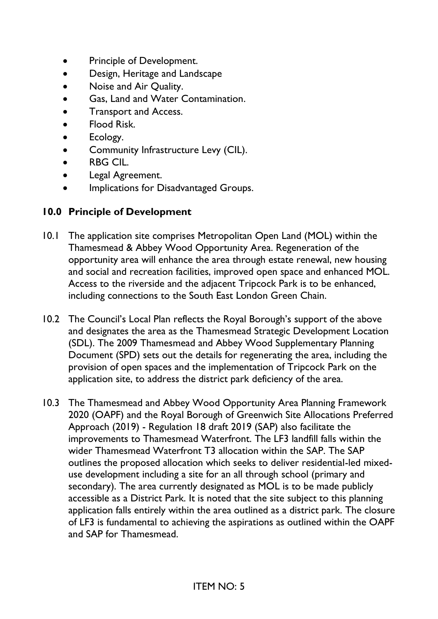- Principle of Development.
- Design, Heritage and Landscape
- Noise and Air Quality.
- Gas, Land and Water Contamination.
- Transport and Access.
- Flood Risk.
- Ecology.
- Community Infrastructure Levy (CIL).
- RBG CIL.
- Legal Agreement.
- Implications for Disadvantaged Groups.

### **10.0 Principle of Development**

- 10.1 The application site comprises Metropolitan Open Land (MOL) within the Thamesmead & Abbey Wood Opportunity Area. Regeneration of the opportunity area will enhance the area through estate renewal, new housing and social and recreation facilities, improved open space and enhanced MOL. Access to the riverside and the adjacent Tripcock Park is to be enhanced, including connections to the South East London Green Chain.
- 10.2 The Council's Local Plan reflects the Royal Borough's support of the above and designates the area as the Thamesmead Strategic Development Location (SDL). The 2009 Thamesmead and Abbey Wood Supplementary Planning Document (SPD) sets out the details for regenerating the area, including the provision of open spaces and the implementation of Tripcock Park on the application site, to address the district park deficiency of the area.
- 10.3 The Thamesmead and Abbey Wood Opportunity Area Planning Framework 2020 (OAPF) and the Royal Borough of Greenwich Site Allocations Preferred Approach (2019) - Regulation 18 draft 2019 (SAP) also facilitate the improvements to Thamesmead Waterfront. The LF3 landfill falls within the wider Thamesmead Waterfront T3 allocation within the SAP. The SAP outlines the proposed allocation which seeks to deliver residential-led mixeduse development including a site for an all through school (primary and secondary). The area currently designated as MOL is to be made publicly accessible as a District Park. It is noted that the site subject to this planning application falls entirely within the area outlined as a district park. The closure of LF3 is fundamental to achieving the aspirations as outlined within the OAPF and SAP for Thamesmead.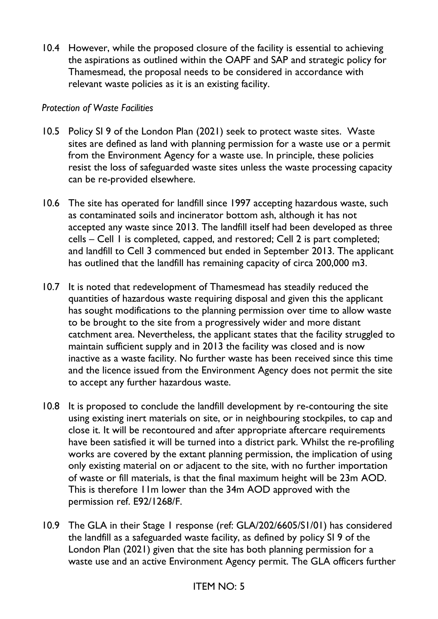10.4 However, while the proposed closure of the facility is essential to achieving the aspirations as outlined within the OAPF and SAP and strategic policy for Thamesmead, the proposal needs to be considered in accordance with relevant waste policies as it is an existing facility.

#### *Protection of Waste Facilities*

- 10.5 Policy SI 9 of the London Plan (2021) seek to protect waste sites. Waste sites are defined as land with planning permission for a waste use or a permit from the Environment Agency for a waste use. In principle, these policies resist the loss of safeguarded waste sites unless the waste processing capacity can be re-provided elsewhere.
- 10.6 The site has operated for landfill since 1997 accepting hazardous waste, such as contaminated soils and incinerator bottom ash, although it has not accepted any waste since 2013. The landfill itself had been developed as three cells – Cell 1 is completed, capped, and restored; Cell 2 is part completed; and landfill to Cell 3 commenced but ended in September 2013. The applicant has outlined that the landfill has remaining capacity of circa 200,000 m3.
- 10.7 It is noted that redevelopment of Thamesmead has steadily reduced the quantities of hazardous waste requiring disposal and given this the applicant has sought modifications to the planning permission over time to allow waste to be brought to the site from a progressively wider and more distant catchment area. Nevertheless, the applicant states that the facility struggled to maintain sufficient supply and in 2013 the facility was closed and is now inactive as a waste facility. No further waste has been received since this time and the licence issued from the Environment Agency does not permit the site to accept any further hazardous waste.
- 10.8 It is proposed to conclude the landfill development by re-contouring the site using existing inert materials on site, or in neighbouring stockpiles, to cap and close it. It will be recontoured and after appropriate aftercare requirements have been satisfied it will be turned into a district park. Whilst the re-profiling works are covered by the extant planning permission, the implication of using only existing material on or adjacent to the site, with no further importation of waste or fill materials, is that the final maximum height will be 23m AOD. This is therefore 11m lower than the 34m AOD approved with the permission ref. E92/1268/F.
- 10.9 The GLA in their Stage 1 response (ref: GLA/202/6605/S1/01) has considered the landfill as a safeguarded waste facility, as defined by policy SI 9 of the London Plan (2021) given that the site has both planning permission for a waste use and an active Environment Agency permit. The GLA officers further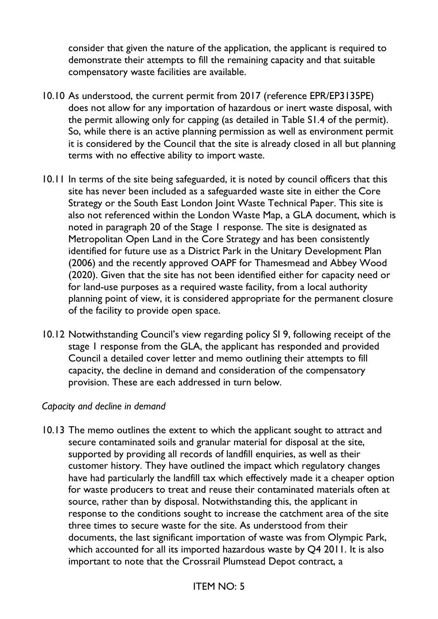consider that given the nature of the application, the applicant is required to demonstrate their attempts to fill the remaining capacity and that suitable compensatory waste facilities are available.

- 10.10 As understood, the current permit from 2017 (reference EPR/EP3135PE) does not allow for any importation of hazardous or inert waste disposal, with the permit allowing only for capping (as detailed in Table S1.4 of the permit). So, while there is an active planning permission as well as environment permit it is considered by the Council that the site is already closed in all but planning terms with no effective ability to import waste.
- 10.11 In terms of the site being safeguarded, it is noted by council officers that this site has never been included as a safeguarded waste site in either the Core Strategy or the South East London Joint Waste Technical Paper. This site is also not referenced within the London Waste Map, a GLA document, which is noted in paragraph 20 of the Stage 1 response. The site is designated as Metropolitan Open Land in the Core Strategy and has been consistently identified for future use as a District Park in the Unitary Development Plan (2006) and the recently approved OAPF for Thamesmead and Abbey Wood (2020). Given that the site has not been identified either for capacity need or for land-use purposes as a required waste facility, from a local authority planning point of view, it is considered appropriate for the permanent closure of the facility to provide open space.
- 10.12 Notwithstanding Council's view regarding policy SI 9, following receipt of the stage 1 response from the GLA, the applicant has responded and provided Council a detailed cover letter and memo outlining their attempts to fill capacity, the decline in demand and consideration of the compensatory provision. These are each addressed in turn below.

#### *Capacity and decline in demand*

10.13 The memo outlines the extent to which the applicant sought to attract and secure contaminated soils and granular material for disposal at the site, supported by providing all records of landfill enquiries, as well as their customer history. They have outlined the impact which regulatory changes have had particularly the landfill tax which effectively made it a cheaper option for waste producers to treat and reuse their contaminated materials often at source, rather than by disposal. Notwithstanding this, the applicant in response to the conditions sought to increase the catchment area of the site three times to secure waste for the site. As understood from their documents, the last significant importation of waste was from Olympic Park, which accounted for all its imported hazardous waste by Q4 2011. It is also important to note that the Crossrail Plumstead Depot contract, a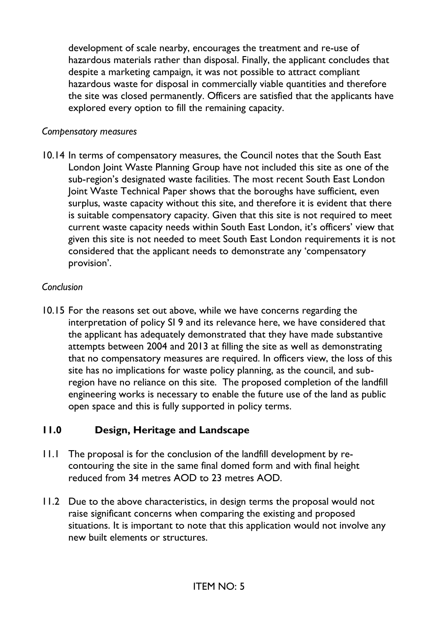development of scale nearby, encourages the treatment and re-use of hazardous materials rather than disposal. Finally, the applicant concludes that despite a marketing campaign, it was not possible to attract compliant hazardous waste for disposal in commercially viable quantities and therefore the site was closed permanently. Officers are satisfied that the applicants have explored every option to fill the remaining capacity.

#### *Compensatory measures*

10.14 In terms of compensatory measures, the Council notes that the South East London Joint Waste Planning Group have not included this site as one of the sub-region's designated waste facilities. The most recent South East London Joint Waste Technical Paper shows that the boroughs have sufficient, even surplus, waste capacity without this site, and therefore it is evident that there is suitable compensatory capacity. Given that this site is not required to meet current waste capacity needs within South East London, it's officers' view that given this site is not needed to meet South East London requirements it is not considered that the applicant needs to demonstrate any 'compensatory provision'.

#### *Conclusion*

10.15 For the reasons set out above, while we have concerns regarding the interpretation of policy SI 9 and its relevance here, we have considered that the applicant has adequately demonstrated that they have made substantive attempts between 2004 and 2013 at filling the site as well as demonstrating that no compensatory measures are required. In officers view, the loss of this site has no implications for waste policy planning, as the council, and subregion have no reliance on this site. The proposed completion of the landfill engineering works is necessary to enable the future use of the land as public open space and this is fully supported in policy terms.

## **11.0 Design, Heritage and Landscape**

- 11.1 The proposal is for the conclusion of the landfill development by recontouring the site in the same final domed form and with final height reduced from 34 metres AOD to 23 metres AOD.
- 11.2 Due to the above characteristics, in design terms the proposal would not raise significant concerns when comparing the existing and proposed situations. It is important to note that this application would not involve any new built elements or structures.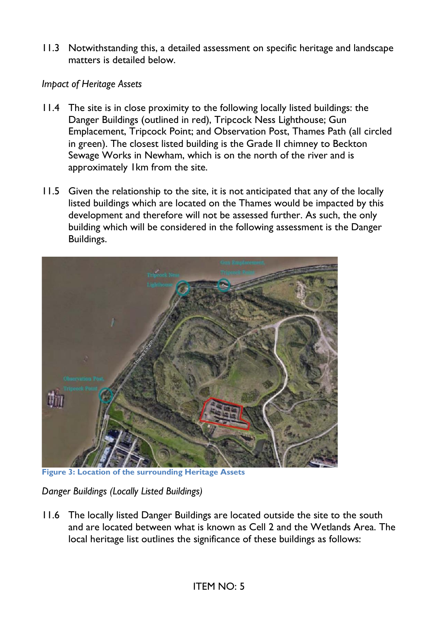11.3 Notwithstanding this, a detailed assessment on specific heritage and landscape matters is detailed below.

### *Impact of Heritage Assets*

- 11.4 The site is in close proximity to the following locally listed buildings: the Danger Buildings (outlined in red), Tripcock Ness Lighthouse; Gun Emplacement, Tripcock Point; and Observation Post, Thames Path (all circled in green). The closest listed building is the Grade II chimney to Beckton Sewage Works in Newham, which is on the north of the river and is approximately 1km from the site.
- 11.5 Given the relationship to the site, it is not anticipated that any of the locally listed buildings which are located on the Thames would be impacted by this development and therefore will not be assessed further. As such, the only building which will be considered in the following assessment is the Danger Buildings.



**Figure 3: Location of the surrounding Heritage Assets**

*Danger Buildings (Locally Listed Buildings)*

11.6 The locally listed Danger Buildings are located outside the site to the south and are located between what is known as Cell 2 and the Wetlands Area. The local heritage list outlines the significance of these buildings as follows: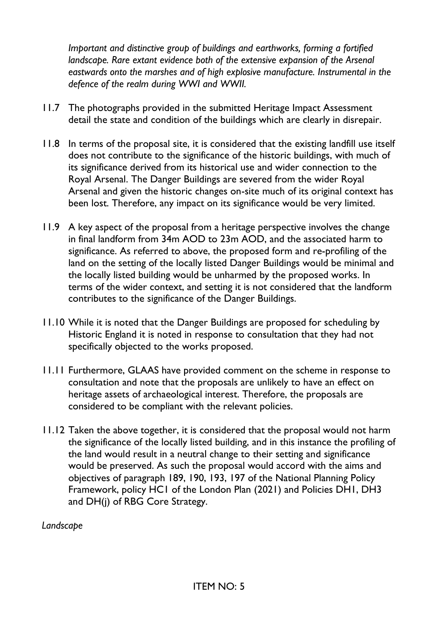*Important and distinctive group of buildings and earthworks, forming a fortified landscape. Rare extant evidence both of the extensive expansion of the Arsenal eastwards onto the marshes and of high explosive manufacture. Instrumental in the defence of the realm during WWI and WWII.*

- 11.7 The photographs provided in the submitted Heritage Impact Assessment detail the state and condition of the buildings which are clearly in disrepair.
- 11.8 In terms of the proposal site, it is considered that the existing landfill use itself does not contribute to the significance of the historic buildings, with much of its significance derived from its historical use and wider connection to the Royal Arsenal. The Danger Buildings are severed from the wider Royal Arsenal and given the historic changes on-site much of its original context has been lost. Therefore, any impact on its significance would be very limited.
- 11.9 A key aspect of the proposal from a heritage perspective involves the change in final landform from 34m AOD to 23m AOD, and the associated harm to significance. As referred to above, the proposed form and re-profiling of the land on the setting of the locally listed Danger Buildings would be minimal and the locally listed building would be unharmed by the proposed works. In terms of the wider context, and setting it is not considered that the landform contributes to the significance of the Danger Buildings.
- 11.10 While it is noted that the Danger Buildings are proposed for scheduling by Historic England it is noted in response to consultation that they had not specifically objected to the works proposed.
- 11.11 Furthermore, GLAAS have provided comment on the scheme in response to consultation and note that the proposals are unlikely to have an effect on heritage assets of archaeological interest. Therefore, the proposals are considered to be compliant with the relevant policies.
- 11.12 Taken the above together, it is considered that the proposal would not harm the significance of the locally listed building, and in this instance the profiling of the land would result in a neutral change to their setting and significance would be preserved. As such the proposal would accord with the aims and objectives of paragraph 189, 190, 193, 197 of the National Planning Policy Framework, policy HC1 of the London Plan (2021) and Policies DH1, DH3 and DH(j) of RBG Core Strategy.

*Landscape*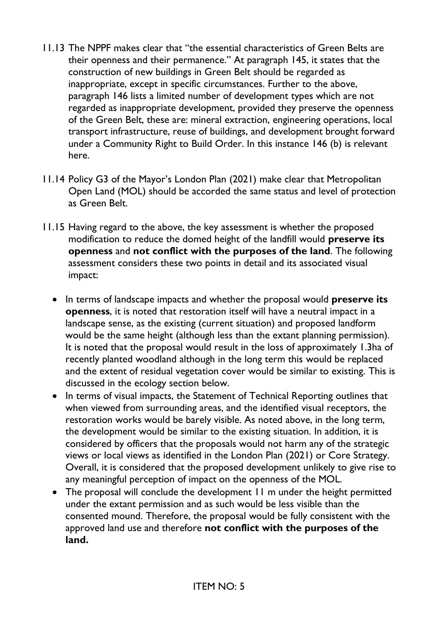- 11.13 The NPPF makes clear that "the essential characteristics of Green Belts are their openness and their permanence." At paragraph 145, it states that the construction of new buildings in Green Belt should be regarded as inappropriate, except in specific circumstances. Further to the above, paragraph 146 lists a limited number of development types which are not regarded as inappropriate development, provided they preserve the openness of the Green Belt, these are: mineral extraction, engineering operations, local transport infrastructure, reuse of buildings, and development brought forward under a Community Right to Build Order. In this instance 146 (b) is relevant here.
- 11.14 Policy G3 of the Mayor's London Plan (2021) make clear that Metropolitan Open Land (MOL) should be accorded the same status and level of protection as Green Belt.
- 11.15 Having regard to the above, the key assessment is whether the proposed modification to reduce the domed height of the landfill would **preserve its openness** and **not conflict with the purposes of the land**. The following assessment considers these two points in detail and its associated visual impact:
	- In terms of landscape impacts and whether the proposal would **preserve its openness**, it is noted that restoration itself will have a neutral impact in a landscape sense, as the existing (current situation) and proposed landform would be the same height (although less than the extant planning permission). It is noted that the proposal would result in the loss of approximately 1.3ha of recently planted woodland although in the long term this would be replaced and the extent of residual vegetation cover would be similar to existing. This is discussed in the ecology section below.
	- In terms of visual impacts, the Statement of Technical Reporting outlines that when viewed from surrounding areas, and the identified visual receptors, the restoration works would be barely visible. As noted above, in the long term, the development would be similar to the existing situation. In addition, it is considered by officers that the proposals would not harm any of the strategic views or local views as identified in the London Plan (2021) or Core Strategy. Overall, it is considered that the proposed development unlikely to give rise to any meaningful perception of impact on the openness of the MOL.
	- The proposal will conclude the development 11 m under the height permitted under the extant permission and as such would be less visible than the consented mound. Therefore, the proposal would be fully consistent with the approved land use and therefore **not conflict with the purposes of the land.**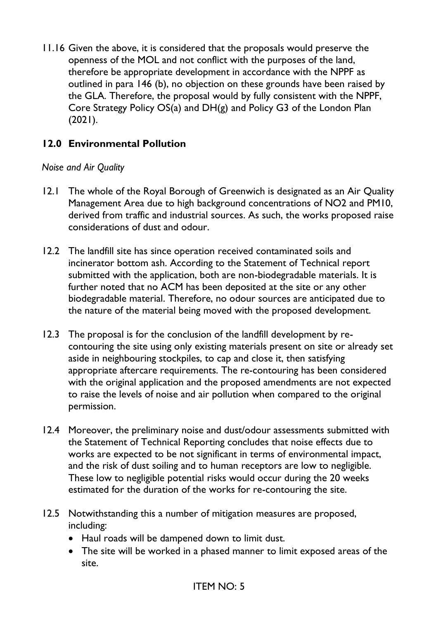11.16 Given the above, it is considered that the proposals would preserve the openness of the MOL and not conflict with the purposes of the land, therefore be appropriate development in accordance with the NPPF as outlined in para 146 (b), no objection on these grounds have been raised by the GLA. Therefore, the proposal would by fully consistent with the NPPF, Core Strategy Policy OS(a) and DH(g) and Policy G3 of the London Plan (2021).

## **12.0 Environmental Pollution**

### *Noise and Air Quality*

- 12.1 The whole of the Royal Borough of Greenwich is designated as an Air Quality Management Area due to high background concentrations of NO2 and PM10, derived from traffic and industrial sources. As such, the works proposed raise considerations of dust and odour.
- 12.2 The landfill site has since operation received contaminated soils and incinerator bottom ash. According to the Statement of Technical report submitted with the application, both are non-biodegradable materials. It is further noted that no ACM has been deposited at the site or any other biodegradable material. Therefore, no odour sources are anticipated due to the nature of the material being moved with the proposed development.
- 12.3 The proposal is for the conclusion of the landfill development by recontouring the site using only existing materials present on site or already set aside in neighbouring stockpiles, to cap and close it, then satisfying appropriate aftercare requirements. The re-contouring has been considered with the original application and the proposed amendments are not expected to raise the levels of noise and air pollution when compared to the original permission.
- 12.4 Moreover, the preliminary noise and dust/odour assessments submitted with the Statement of Technical Reporting concludes that noise effects due to works are expected to be not significant in terms of environmental impact, and the risk of dust soiling and to human receptors are low to negligible. These low to negligible potential risks would occur during the 20 weeks estimated for the duration of the works for re-contouring the site.
- 12.5 Notwithstanding this a number of mitigation measures are proposed, including:
	- Haul roads will be dampened down to limit dust.
	- The site will be worked in a phased manner to limit exposed areas of the site.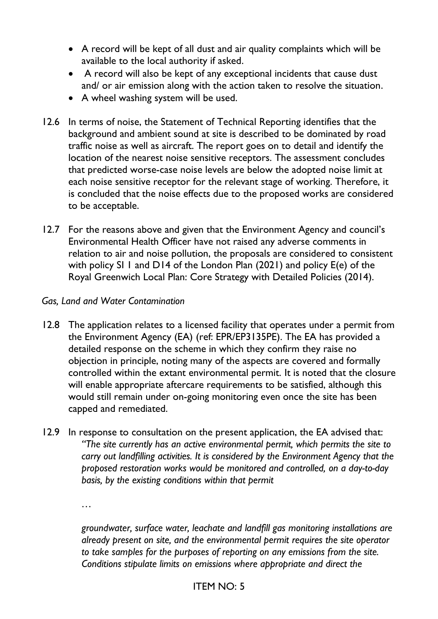- A record will be kept of all dust and air quality complaints which will be available to the local authority if asked.
- A record will also be kept of any exceptional incidents that cause dust and/ or air emission along with the action taken to resolve the situation.
- A wheel washing system will be used.
- 12.6 In terms of noise, the Statement of Technical Reporting identifies that the background and ambient sound at site is described to be dominated by road traffic noise as well as aircraft. The report goes on to detail and identify the location of the nearest noise sensitive receptors. The assessment concludes that predicted worse-case noise levels are below the adopted noise limit at each noise sensitive receptor for the relevant stage of working. Therefore, it is concluded that the noise effects due to the proposed works are considered to be acceptable.
- 12.7 For the reasons above and given that the Environment Agency and council's Environmental Health Officer have not raised any adverse comments in relation to air and noise pollution, the proposals are considered to consistent with policy SI 1 and D14 of the London Plan (2021) and policy E(e) of the Royal Greenwich Local Plan: Core Strategy with Detailed Policies (2014).

#### *Gas, Land and Water Contamination*

- 12.8 The application relates to a licensed facility that operates under a permit from the Environment Agency (EA) (ref: EPR/EP3135PE). The EA has provided a detailed response on the scheme in which they confirm they raise no objection in principle, noting many of the aspects are covered and formally controlled within the extant environmental permit. It is noted that the closure will enable appropriate aftercare requirements to be satisfied, although this would still remain under on-going monitoring even once the site has been capped and remediated.
- 12.9 In response to consultation on the present application, the EA advised that: *"The site currently has an active environmental permit, which permits the site to carry out landfilling activities. It is considered by the Environment Agency that the proposed restoration works would be monitored and controlled, on a day-to-day basis, by the existing conditions within that permit*

*…*

*groundwater, surface water, leachate and landfill gas monitoring installations are already present on site, and the environmental permit requires the site operator to take samples for the purposes of reporting on any emissions from the site. Conditions stipulate limits on emissions where appropriate and direct the*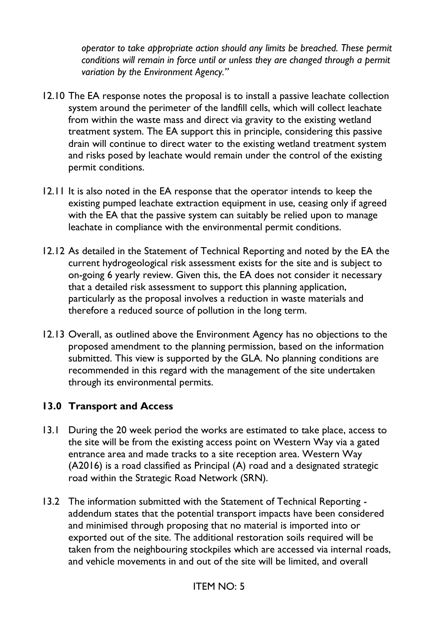*operator to take appropriate action should any limits be breached. These permit conditions will remain in force until or unless they are changed through a permit variation by the Environment Agency."*

- 12.10 The EA response notes the proposal is to install a passive leachate collection system around the perimeter of the landfill cells, which will collect leachate from within the waste mass and direct via gravity to the existing wetland treatment system. The EA support this in principle, considering this passive drain will continue to direct water to the existing wetland treatment system and risks posed by leachate would remain under the control of the existing permit conditions.
- 12.11 It is also noted in the EA response that the operator intends to keep the existing pumped leachate extraction equipment in use, ceasing only if agreed with the EA that the passive system can suitably be relied upon to manage leachate in compliance with the environmental permit conditions.
- 12.12 As detailed in the Statement of Technical Reporting and noted by the EA the current hydrogeological risk assessment exists for the site and is subject to on-going 6 yearly review. Given this, the EA does not consider it necessary that a detailed risk assessment to support this planning application, particularly as the proposal involves a reduction in waste materials and therefore a reduced source of pollution in the long term.
- 12.13 Overall, as outlined above the Environment Agency has no objections to the proposed amendment to the planning permission, based on the information submitted. This view is supported by the GLA. No planning conditions are recommended in this regard with the management of the site undertaken through its environmental permits.

## **13.0 Transport and Access**

- 13.1 During the 20 week period the works are estimated to take place, access to the site will be from the existing access point on Western Way via a gated entrance area and made tracks to a site reception area. Western Way (A2016) is a road classified as Principal (A) road and a designated strategic road within the Strategic Road Network (SRN).
- 13.2 The information submitted with the Statement of Technical Reporting addendum states that the potential transport impacts have been considered and minimised through proposing that no material is imported into or exported out of the site. The additional restoration soils required will be taken from the neighbouring stockpiles which are accessed via internal roads, and vehicle movements in and out of the site will be limited, and overall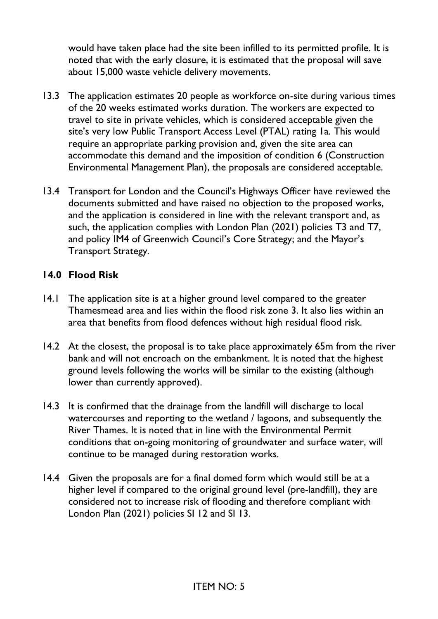would have taken place had the site been infilled to its permitted profile. It is noted that with the early closure, it is estimated that the proposal will save about 15,000 waste vehicle delivery movements.

- 13.3 The application estimates 20 people as workforce on-site during various times of the 20 weeks estimated works duration. The workers are expected to travel to site in private vehicles, which is considered acceptable given the site's very low Public Transport Access Level (PTAL) rating 1a. This would require an appropriate parking provision and, given the site area can accommodate this demand and the imposition of condition 6 (Construction Environmental Management Plan), the proposals are considered acceptable.
- 13.4 Transport for London and the Council's Highways Officer have reviewed the documents submitted and have raised no objection to the proposed works, and the application is considered in line with the relevant transport and, as such, the application complies with London Plan (2021) policies T3 and T7, and policy IM4 of Greenwich Council's Core Strategy; and the Mayor's Transport Strategy.

### **14.0 Flood Risk**

- 14.1 The application site is at a higher ground level compared to the greater Thamesmead area and lies within the flood risk zone 3. It also lies within an area that benefits from flood defences without high residual flood risk.
- 14.2 At the closest, the proposal is to take place approximately 65m from the river bank and will not encroach on the embankment. It is noted that the highest ground levels following the works will be similar to the existing (although lower than currently approved).
- 14.3 It is confirmed that the drainage from the landfill will discharge to local watercourses and reporting to the wetland / lagoons, and subsequently the River Thames. It is noted that in line with the Environmental Permit conditions that on-going monitoring of groundwater and surface water, will continue to be managed during restoration works.
- 14.4 Given the proposals are for a final domed form which would still be at a higher level if compared to the original ground level (pre-landfill), they are considered not to increase risk of flooding and therefore compliant with London Plan (2021) policies SI 12 and SI 13.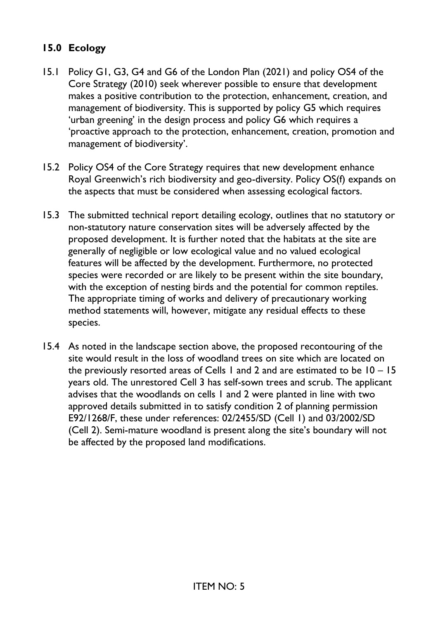## **15.0 Ecology**

- 15.1 Policy G1, G3, G4 and G6 of the London Plan (2021) and policy OS4 of the Core Strategy (2010) seek wherever possible to ensure that development makes a positive contribution to the protection, enhancement, creation, and management of biodiversity. This is supported by policy G5 which requires 'urban greening' in the design process and policy G6 which requires a 'proactive approach to the protection, enhancement, creation, promotion and management of biodiversity'.
- 15.2 Policy OS4 of the Core Strategy requires that new development enhance Royal Greenwich's rich biodiversity and geo-diversity. Policy OS(f) expands on the aspects that must be considered when assessing ecological factors.
- 15.3 The submitted technical report detailing ecology, outlines that no statutory or non-statutory nature conservation sites will be adversely affected by the proposed development. It is further noted that the habitats at the site are generally of negligible or low ecological value and no valued ecological features will be affected by the development. Furthermore, no protected species were recorded or are likely to be present within the site boundary, with the exception of nesting birds and the potential for common reptiles. The appropriate timing of works and delivery of precautionary working method statements will, however, mitigate any residual effects to these species.
- 15.4 As noted in the landscape section above, the proposed recontouring of the site would result in the loss of woodland trees on site which are located on the previously resorted areas of Cells 1 and 2 and are estimated to be 10 – 15 years old. The unrestored Cell 3 has self-sown trees and scrub. The applicant advises that the woodlands on cells 1 and 2 were planted in line with two approved details submitted in to satisfy condition 2 of planning permission E92/1268/F, these under references: 02/2455/SD (Cell 1) and 03/2002/SD (Cell 2). Semi-mature woodland is present along the site's boundary will not be affected by the proposed land modifications.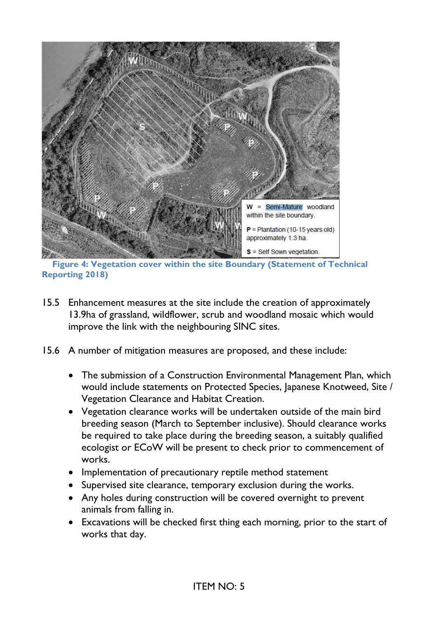

**Figure 4: Vegetation cover within the site Boundary (Statement of Technical Reporting 2018)**

- 15.5 Enhancement measures at the site include the creation of approximately 13.9ha of grassland, wildflower, scrub and woodland mosaic which would improve the link with the neighbouring SINC sites.
- 15.6 A number of mitigation measures are proposed, and these include:
	- The submission of a Construction Environmental Management Plan, which would include statements on Protected Species, Japanese Knotweed, Site / Vegetation Clearance and Habitat Creation.
	- Vegetation clearance works will be undertaken outside of the main bird breeding season (March to September inclusive). Should clearance works be required to take place during the breeding season, a suitably qualified ecologist or ECoW will be present to check prior to commencement of works.
	- Implementation of precautionary reptile method statement
	- Supervised site clearance, temporary exclusion during the works.
	- Any holes during construction will be covered overnight to prevent animals from falling in.
	- Excavations will be checked first thing each morning, prior to the start of works that day.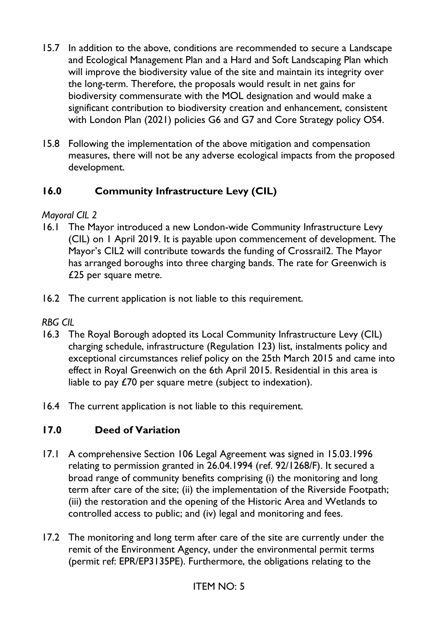- 15.7 In addition to the above, conditions are recommended to secure a Landscape and Ecological Management Plan and a Hard and Soft Landscaping Plan which will improve the biodiversity value of the site and maintain its integrity over the long-term. Therefore, the proposals would result in net gains for biodiversity commensurate with the MOL designation and would make a significant contribution to biodiversity creation and enhancement, consistent with London Plan (2021) policies G6 and G7 and Core Strategy policy OS4.
- 15.8 Following the implementation of the above mitigation and compensation measures, there will not be any adverse ecological impacts from the proposed development.

# **16.0 Community Infrastructure Levy (CIL)**

## *Mayoral CIL 2*

- 16.1 The Mayor introduced a new London-wide Community Infrastructure Levy (CIL) on 1 April 2019. It is payable upon commencement of development. The Mayor's CIL2 will contribute towards the funding of Crossrail2. The Mayor has arranged boroughs into three charging bands. The rate for Greenwich is £25 per square metre.
- 16.2 The current application is not liable to this requirement.

# *RBG CIL*

- 16.3 The Royal Borough adopted its Local Community Infrastructure Levy (CIL) charging schedule, infrastructure (Regulation 123) list, instalments policy and exceptional circumstances relief policy on the 25th March 2015 and came into effect in Royal Greenwich on the 6th April 2015. Residential in this area is liable to pay £70 per square metre (subject to indexation).
- 16.4 The current application is not liable to this requirement.

# **17.0 Deed of Variation**

- 17.1 A comprehensive Section 106 Legal Agreement was signed in 15.03.1996 relating to permission granted in 26.04.1994 (ref. 92/1268/F). It secured a broad range of community benefits comprising (i) the monitoring and long term after care of the site; (ii) the implementation of the Riverside Footpath; (iii) the restoration and the opening of the Historic Area and Wetlands to controlled access to public; and (iv) legal and monitoring and fees.
- 17.2 The monitoring and long term after care of the site are currently under the remit of the Environment Agency, under the environmental permit terms (permit ref: EPR/EP3135PE). Furthermore, the obligations relating to the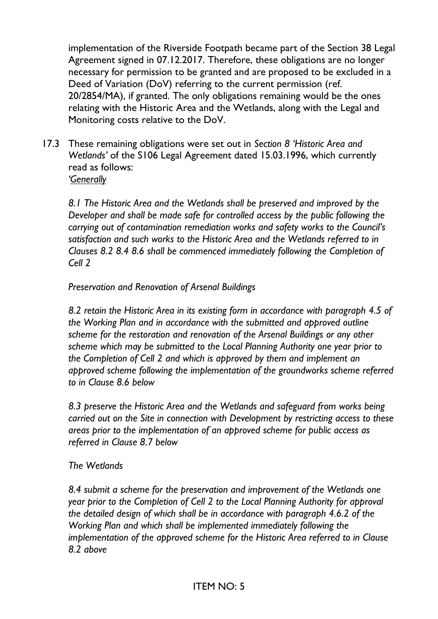implementation of the Riverside Footpath became part of the Section 38 Legal Agreement signed in 07.12.2017. Therefore, these obligations are no longer necessary for permission to be granted and are proposed to be excluded in a Deed of Variation (DoV) referring to the current permission (ref. 20/2854/MA), if granted. The only obligations remaining would be the ones relating with the Historic Area and the Wetlands, along with the Legal and Monitoring costs relative to the DoV.

17.3 These remaining obligations were set out in *Section 8 'Historic Area and Wetlands'* of the S106 Legal Agreement dated 15.03.1996, which currently read as follows: *'Generally*

*8.1 The Historic Area and the Wetlands shall be preserved and improved by the Developer and shall be made safe for controlled access by the public following the carrying out of contamination remediation works and safety works to the Council's satisfaction and such works to the Historic Area and the Wetlands referred to in Clauses 8.2 8.4 8.6 shall be commenced immediately following the Completion of Cell 2*

#### *Preservation and Renovation of Arsenal Buildings*

*8.2 retain the Historic Area in its existing form in accordance with paragraph 4.5 of the Working Plan and in accordance with the submitted and approved outline scheme for the restoration and renovation of the Arsenal Buildings or any other scheme which may be submitted to the Local Planning Authority one year prior to the Completion of Cell 2 and which is approved by them and implement an approved scheme following the implementation of the groundworks scheme referred to in Clause 8.6 below*

*8.3 preserve the Historic Area and the Wetlands and safeguard from works being carried out on the Site in connection with Development by restricting access to these areas prior to the implementation of an approved scheme for public access as referred in Clause 8.7 below*

#### *The Wetlands*

*8.4 submit a scheme for the preservation and improvement of the Wetlands one year prior to the Completion of Cell 2 to the Local Planning Authority for approval the detailed design of which shall be in accordance with paragraph 4.6.2 of the Working Plan and which shall be implemented immediately following the implementation of the approved scheme for the Historic Area referred to in Clause 8.2 above*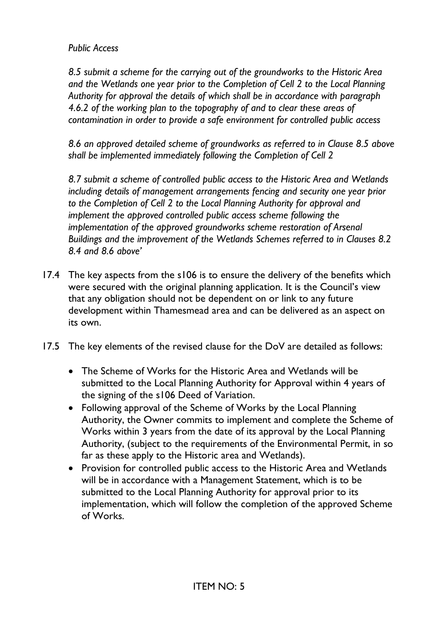*Public Access*

*8.5 submit a scheme for the carrying out of the groundworks to the Historic Area and the Wetlands one year prior to the Completion of Cell 2 to the Local Planning Authority for approval the details of which shall be in accordance with paragraph 4.6.2 of the working plan to the topography of and to clear these areas of contamination in order to provide a safe environment for controlled public access*

*8.6 an approved detailed scheme of groundworks as referred to in Clause 8.5 above shall be implemented immediately following the Completion of Cell 2*

*8.7 submit a scheme of controlled public access to the Historic Area and Wetlands including details of management arrangements fencing and security one year prior to the Completion of Cell 2 to the Local Planning Authority for approval and implement the approved controlled public access scheme following the implementation of the approved groundworks scheme restoration of Arsenal Buildings and the improvement of the Wetlands Schemes referred to in Clauses 8.2 8.4 and 8.6 above'*

- 17.4 The key aspects from the s106 is to ensure the delivery of the benefits which were secured with the original planning application. It is the Council's view that any obligation should not be dependent on or link to any future development within Thamesmead area and can be delivered as an aspect on its own.
- 17.5 The key elements of the revised clause for the DoV are detailed as follows:
	- The Scheme of Works for the Historic Area and Wetlands will be submitted to the Local Planning Authority for Approval within 4 years of the signing of the s106 Deed of Variation.
	- Following approval of the Scheme of Works by the Local Planning Authority, the Owner commits to implement and complete the Scheme of Works within 3 years from the date of its approval by the Local Planning Authority, (subject to the requirements of the Environmental Permit, in so far as these apply to the Historic area and Wetlands).
	- Provision for controlled public access to the Historic Area and Wetlands will be in accordance with a Management Statement, which is to be submitted to the Local Planning Authority for approval prior to its implementation, which will follow the completion of the approved Scheme of Works.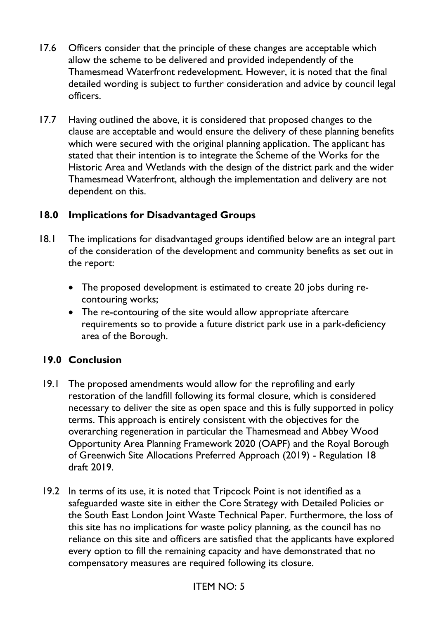- 17.6 Officers consider that the principle of these changes are acceptable which allow the scheme to be delivered and provided independently of the Thamesmead Waterfront redevelopment. However, it is noted that the final detailed wording is subject to further consideration and advice by council legal officers.
- 17.7 Having outlined the above, it is considered that proposed changes to the clause are acceptable and would ensure the delivery of these planning benefits which were secured with the original planning application. The applicant has stated that their intention is to integrate the Scheme of the Works for the Historic Area and Wetlands with the design of the district park and the wider Thamesmead Waterfront, although the implementation and delivery are not dependent on this.

### **18.0 Implications for Disadvantaged Groups**

- 18.1 The implications for disadvantaged groups identified below are an integral part of the consideration of the development and community benefits as set out in the report:
	- The proposed development is estimated to create 20 jobs during recontouring works;
	- The re-contouring of the site would allow appropriate aftercare requirements so to provide a future district park use in a park-deficiency area of the Borough.

## **19.0 Conclusion**

- 19.1 The proposed amendments would allow for the reprofiling and early restoration of the landfill following its formal closure, which is considered necessary to deliver the site as open space and this is fully supported in policy terms. This approach is entirely consistent with the objectives for the overarching regeneration in particular the Thamesmead and Abbey Wood Opportunity Area Planning Framework 2020 (OAPF) and the Royal Borough of Greenwich Site Allocations Preferred Approach (2019) - Regulation 18 draft 2019.
- 19.2 In terms of its use, it is noted that Tripcock Point is not identified as a safeguarded waste site in either the Core Strategy with Detailed Policies or the South East London Joint Waste Technical Paper. Furthermore, the loss of this site has no implications for waste policy planning, as the council has no reliance on this site and officers are satisfied that the applicants have explored every option to fill the remaining capacity and have demonstrated that no compensatory measures are required following its closure.